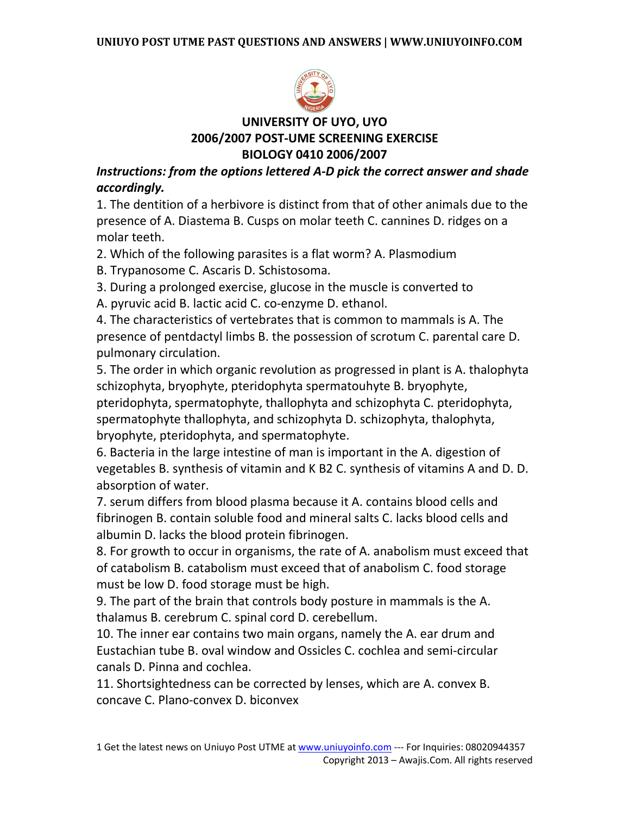

# **UNIVERSITY OF UYO, UYO 2006/2007 POST-UME SCREENING EXERCISE BIOLOGY 0410 2006/2007**

*Instructions: from the options lettered A-D pick the correct answer and shade accordingly.* 

1. The dentition of a herbivore is distinct from that of other animals due to the presence of A. Diastema B. Cusps on molar teeth C. cannines D. ridges on a molar teeth.

2. Which of the following parasites is a flat worm? A. Plasmodium

B. Trypanosome C. Ascaris D. Schistosoma.

3. During a prolonged exercise, glucose in the muscle is converted to

A. pyruvic acid B. lactic acid C. co-enzyme D. ethanol.

4. The characteristics of vertebrates that is common to mammals is A. The presence of pentdactyl limbs B. the possession of scrotum C. parental care D. pulmonary circulation.

5. The order in which organic revolution as progressed in plant is A. thalophyta schizophyta, bryophyte, pteridophyta spermatouhyte B. bryophyte,

pteridophyta, spermatophyte, thallophyta and schizophyta C. pteridophyta, spermatophyte thallophyta, and schizophyta D. schizophyta, thalophyta, bryophyte, pteridophyta, and spermatophyte.

6. Bacteria in the large intestine of man is important in the A. digestion of vegetables B. synthesis of vitamin and K B2 C. synthesis of vitamins A and D. D. absorption of water.

7. serum differs from blood plasma because it A. contains blood cells and fibrinogen B. contain soluble food and mineral salts C. lacks blood cells and albumin D. lacks the blood protein fibrinogen.

8. For growth to occur in organisms, the rate of A. anabolism must exceed that of catabolism B. catabolism must exceed that of anabolism C. food storage must be low D. food storage must be high.

9. The part of the brain that controls body posture in mammals is the A. thalamus B. cerebrum C. spinal cord D. cerebellum.

10. The inner ear contains two main organs, namely the A. ear drum and Eustachian tube B. oval window and Ossicles C. cochlea and semi-circular canals D. Pinna and cochlea.

11. Shortsightedness can be corrected by lenses, which are A. convex B. concave C. Plano-convex D. biconvex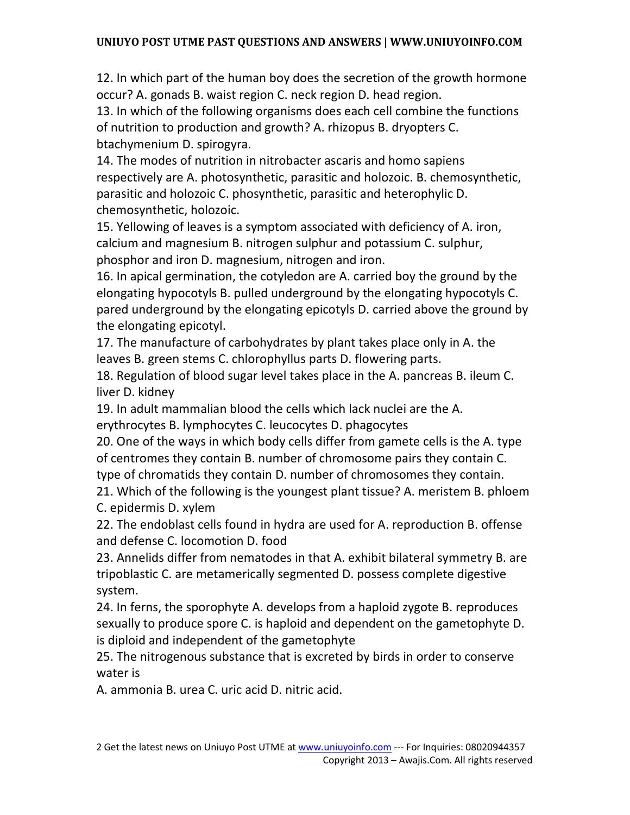12. In which part of the human boy does the secretion of the growth hormone occur? A. gonads B. waist region C. neck region D. head region.

13. In which of the following organisms does each cell combine the functions of nutrition to production and growth? A. rhizopus B. dryopters C. btachymenium D. spirogyra.

14. The modes of nutrition in nitrobacter ascaris and homo sapiens respectively are A. photosynthetic, parasitic and holozoic. B. chemosynthetic, parasitic and holozoic C. phosynthetic, parasitic and heterophylic D. chemosynthetic, holozoic.

15. Yellowing of leaves is a symptom associated with deficiency of A. iron, calcium and magnesium B. nitrogen sulphur and potassium C. sulphur, phosphor and iron D. magnesium, nitrogen and iron.

16. In apical germination, the cotyledon are A. carried boy the ground by the elongating hypocotyls B. pulled underground by the elongating hypocotyls C. pared underground by the elongating epicotyls D. carried above the ground by the elongating epicotyl.

17. The manufacture of carbohydrates by plant takes place only in A. the leaves B. green stems C. chlorophyllus parts D. flowering parts.

18. Regulation of blood sugar level takes place in the A. pancreas B. ileum C. liver D. kidney

19. In adult mammalian blood the cells which lack nuclei are the A.

erythrocytes B. lymphocytes C. leucocytes D. phagocytes

20. One of the ways in which body cells differ from gamete cells is the A. type of centromes they contain B. number of chromosome pairs they contain C. type of chromatids they contain D. number of chromosomes they contain.

21. Which of the following is the youngest plant tissue? A. meristem B. phloem C. epidermis D. xylem

22. The endoblast cells found in hydra are used for A. reproduction B. offense and defense C. locomotion D. food

23. Annelids differ from nematodes in that A. exhibit bilateral symmetry B. are tripoblastic C. are metamerically segmented D. possess complete digestive system.

24. In ferns, the sporophyte A. develops from a haploid zygote B. reproduces sexually to produce spore C. is haploid and dependent on the gametophyte D. is diploid and independent of the gametophyte

25. The nitrogenous substance that is excreted by birds in order to conserve water is

A. ammonia B. urea C. uric acid D. nitric acid.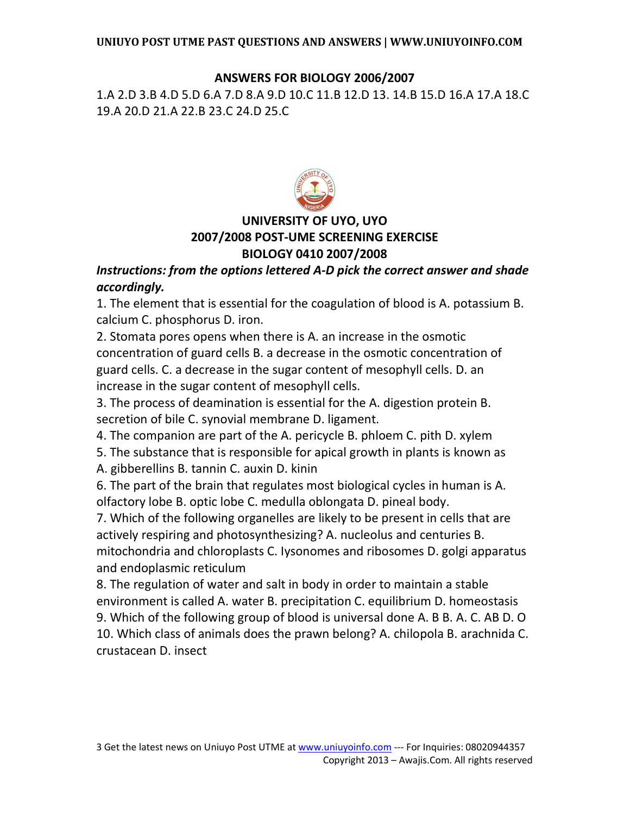## **ANSWERS FOR BIOLOGY 2006/2007**

1.A 2.D 3.B 4.D 5.D 6.A 7.D 8.A 9.D 10.C 11.B 12.D 13. 14.B 15.D 16.A 17.A 18.C 19.A 20.D 21.A 22.B 23.C 24.D 25.C



# **UNIVERSITY OF UYO, UYO 2007/2008 POST-UME SCREENING EXERCISE BIOLOGY 0410 2007/2008**

## *Instructions: from the options lettered A-D pick the correct answer and shade accordingly.*

1. The element that is essential for the coagulation of blood is A. potassium B. calcium C. phosphorus D. iron.

2. Stomata pores opens when there is A. an increase in the osmotic concentration of guard cells B. a decrease in the osmotic concentration of guard cells. C. a decrease in the sugar content of mesophyll cells. D. an increase in the sugar content of mesophyll cells.

3. The process of deamination is essential for the A. digestion protein B. secretion of bile C. synovial membrane D. ligament.

4. The companion are part of the A. pericycle B. phloem C. pith D. xylem

5. The substance that is responsible for apical growth in plants is known as

A. gibberellins B. tannin C. auxin D. kinin

6. The part of the brain that regulates most biological cycles in human is A. olfactory lobe B. optic lobe C. medulla oblongata D. pineal body.

7. Which of the following organelles are likely to be present in cells that are actively respiring and photosynthesizing? A. nucleolus and centuries B. mitochondria and chloroplasts C. Iysonomes and ribosomes D. golgi apparatus and endoplasmic reticulum

8. The regulation of water and salt in body in order to maintain a stable environment is called A. water B. precipitation C. equilibrium D. homeostasis 9. Which of the following group of blood is universal done A. B B. A. C. AB D. O 10. Which class of animals does the prawn belong? A. chilopola B. arachnida C. crustacean D. insect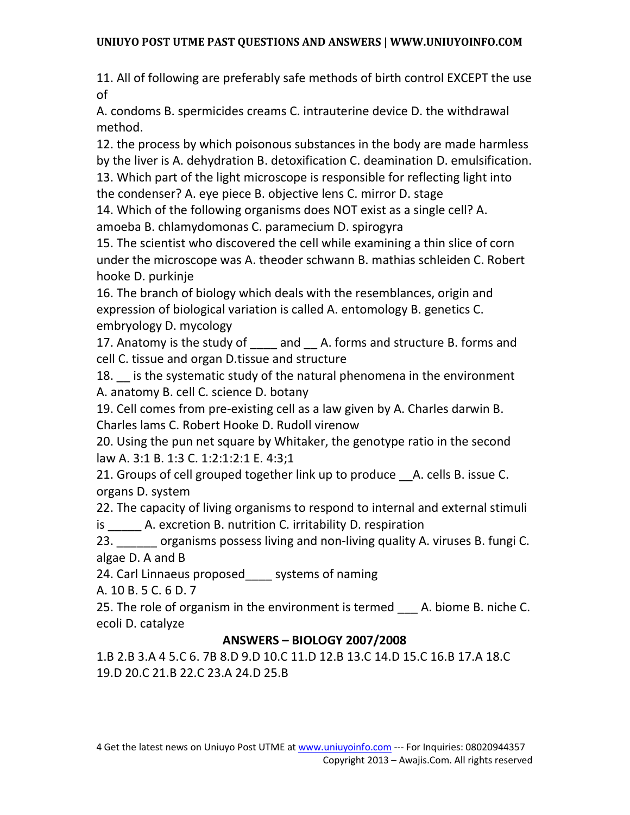11. All of following are preferably safe methods of birth control EXCEPT the use of

A. condoms B. spermicides creams C. intrauterine device D. the withdrawal method.

12. the process by which poisonous substances in the body are made harmless by the liver is A. dehydration B. detoxification C. deamination D. emulsification. 13. Which part of the light microscope is responsible for reflecting light into

the condenser? A. eye piece B. objective lens C. mirror D. stage

14. Which of the following organisms does NOT exist as a single cell? A. amoeba B. chlamydomonas C. paramecium D. spirogyra

15. The scientist who discovered the cell while examining a thin slice of corn under the microscope was A. theoder schwann B. mathias schleiden C. Robert hooke D. purkinje

16. The branch of biology which deals with the resemblances, origin and expression of biological variation is called A. entomology B. genetics C. embryology D. mycology

17. Anatomy is the study of \_\_\_\_ and \_\_ A. forms and structure B. forms and cell C. tissue and organ D.tissue and structure

18. is the systematic study of the natural phenomena in the environment A. anatomy B. cell C. science D. botany

19. Cell comes from pre-existing cell as a law given by A. Charles darwin B. Charles lams C. Robert Hooke D. Rudoll virenow

20. Using the pun net square by Whitaker, the genotype ratio in the second law A. 3:1 B. 1:3 C. 1:2:1:2:1 E. 4:3;1

21. Groups of cell grouped together link up to produce \_\_A. cells B. issue C. organs D. system

22. The capacity of living organisms to respond to internal and external stimuli is A. excretion B. nutrition C. irritability D. respiration

23. organisms possess living and non-living quality A. viruses B. fungi C. algae D. A and B

24. Carl Linnaeus proposed\_\_\_\_ systems of naming

A. 10 B. 5 C. 6 D. 7

25. The role of organism in the environment is termed A. biome B. niche C. ecoli D. catalyze

# **ANSWERS – BIOLOGY 2007/2008**

1.B 2.B 3.A 4 5.C 6. 7B 8.D 9.D 10.C 11.D 12.B 13.C 14.D 15.C 16.B 17.A 18.C 19.D 20.C 21.B 22.C 23.A 24.D 25.B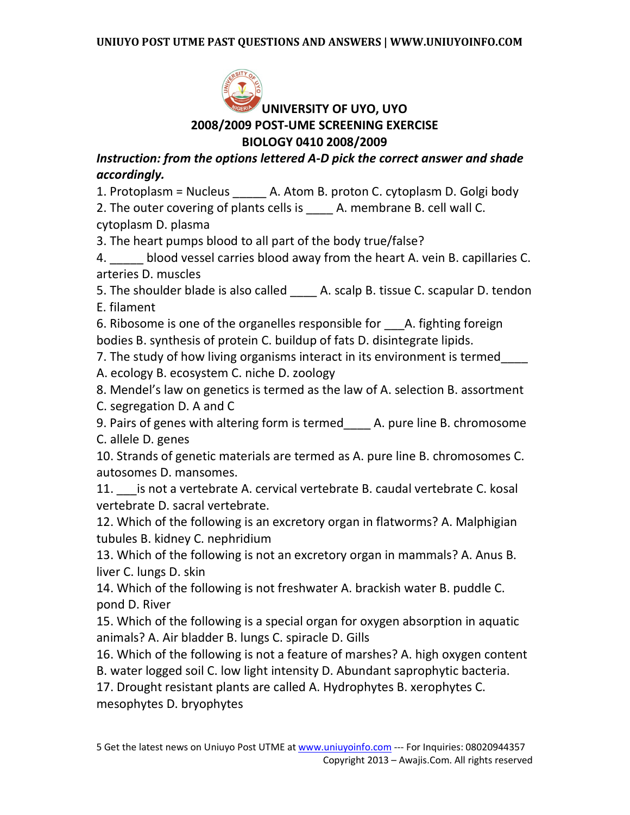

# **UNIVERSITY OF UYO, UYO 2008/2009 POST-UME SCREENING EXERCISE BIOLOGY 0410 2008/2009**

*Instruction: from the options lettered A-D pick the correct answer and shade accordingly.* 

1. Protoplasm = Nucleus \_\_\_\_\_ A. Atom B. proton C. cytoplasm D. Golgi body

2. The outer covering of plants cells is A. membrane B. cell wall C. cytoplasm D. plasma

3. The heart pumps blood to all part of the body true/false?

4. \_\_\_\_\_ blood vessel carries blood away from the heart A. vein B. capillaries C. arteries D. muscles

5. The shoulder blade is also called <br>A. scalp B. tissue C. scapular D. tendon E. filament

6. Ribosome is one of the organelles responsible for A. fighting foreign bodies B. synthesis of protein C. buildup of fats D. disintegrate lipids.

7. The study of how living organisms interact in its environment is termed\_\_\_\_

A. ecology B. ecosystem C. niche D. zoology

- 8. Mendel's law on genetics is termed as the law of A. selection B. assortment
- C. segregation D. A and C

9. Pairs of genes with altering form is termed\_\_\_\_ A. pure line B. chromosome C. allele D. genes

10. Strands of genetic materials are termed as A. pure line B. chromosomes C. autosomes D. mansomes.

11. \_\_\_is not a vertebrate A. cervical vertebrate B. caudal vertebrate C. kosal vertebrate D. sacral vertebrate.

12. Which of the following is an excretory organ in flatworms? A. Malphigian tubules B. kidney C. nephridium

13. Which of the following is not an excretory organ in mammals? A. Anus B. liver C. lungs D. skin

14. Which of the following is not freshwater A. brackish water B. puddle C. pond D. River

15. Which of the following is a special organ for oxygen absorption in aquatic animals? A. Air bladder B. lungs C. spiracle D. Gills

16. Which of the following is not a feature of marshes? A. high oxygen content B. water logged soil C. low light intensity D. Abundant saprophytic bacteria.

17. Drought resistant plants are called A. Hydrophytes B. xerophytes C. mesophytes D. bryophytes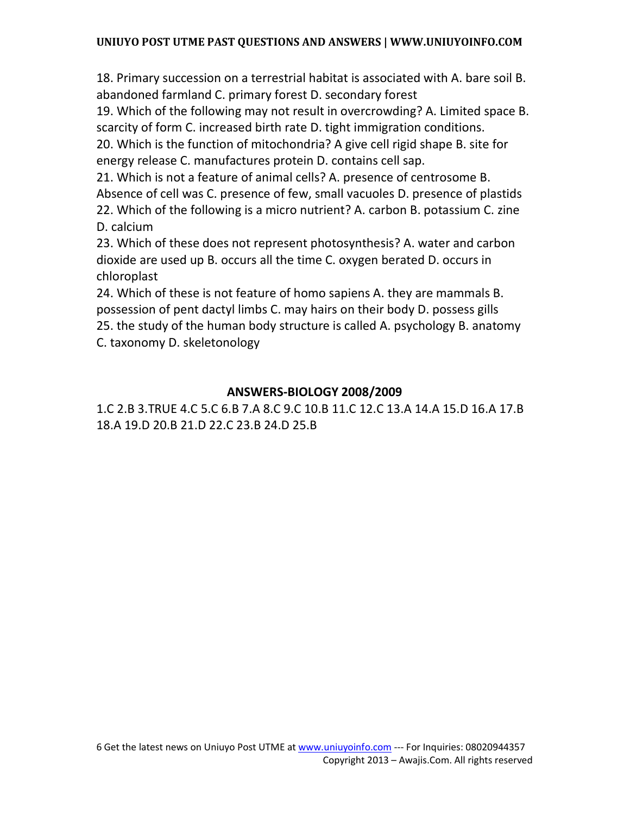18. Primary succession on a terrestrial habitat is associated with A. bare soil B. abandoned farmland C. primary forest D. secondary forest

19. Which of the following may not result in overcrowding? A. Limited space B. scarcity of form C. increased birth rate D. tight immigration conditions.

20. Which is the function of mitochondria? A give cell rigid shape B. site for energy release C. manufactures protein D. contains cell sap.

21. Which is not a feature of animal cells? A. presence of centrosome B.

Absence of cell was C. presence of few, small vacuoles D. presence of plastids 22. Which of the following is a micro nutrient? A. carbon B. potassium C. zine

D. calcium

23. Which of these does not represent photosynthesis? A. water and carbon dioxide are used up B. occurs all the time C. oxygen berated D. occurs in chloroplast

24. Which of these is not feature of homo sapiens A. they are mammals B. possession of pent dactyl limbs C. may hairs on their body D. possess gills 25. the study of the human body structure is called A. psychology B. anatomy C. taxonomy D. skeletonology

## **ANSWERS-BIOLOGY 2008/2009**

1.C 2.B 3.TRUE 4.C 5.C 6.B 7.A 8.C 9.C 10.B 11.C 12.C 13.A 14.A 15.D 16.A 17.B 18.A 19.D 20.B 21.D 22.C 23.B 24.D 25.B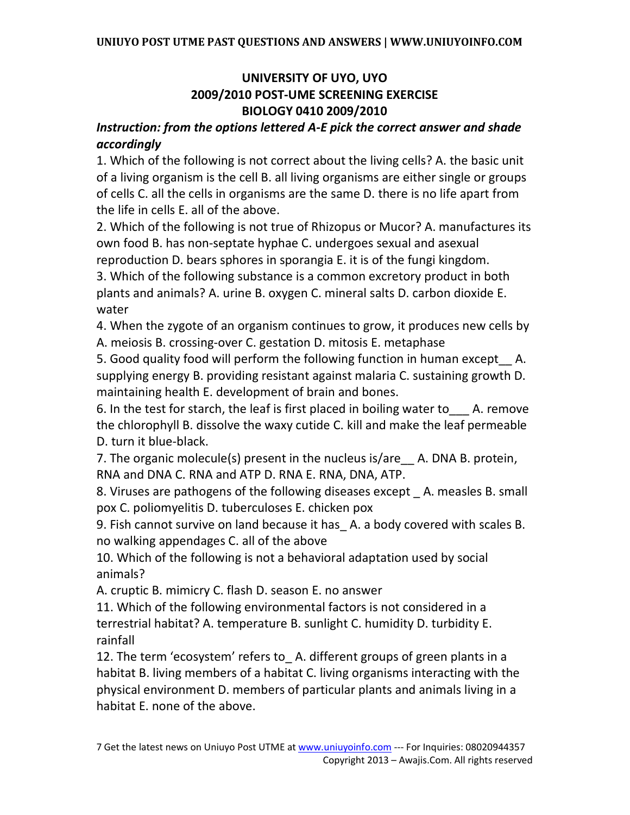# **UNIVERSITY OF UYO, UYO 2009/2010 POST-UME SCREENING EXERCISE BIOLOGY 0410 2009/2010**

## *Instruction: from the options lettered A-E pick the correct answer and shade accordingly*

1. Which of the following is not correct about the living cells? A. the basic unit of a living organism is the cell B. all living organisms are either single or groups of cells C. all the cells in organisms are the same D. there is no life apart from the life in cells E. all of the above.

2. Which of the following is not true of Rhizopus or Mucor? A. manufactures its own food B. has non-septate hyphae C. undergoes sexual and asexual reproduction D. bears sphores in sporangia E. it is of the fungi kingdom.

3. Which of the following substance is a common excretory product in both plants and animals? A. urine B. oxygen C. mineral salts D. carbon dioxide E. water

4. When the zygote of an organism continues to grow, it produces new cells by A. meiosis B. crossing-over C. gestation D. mitosis E. metaphase

5. Good quality food will perform the following function in human except A. supplying energy B. providing resistant against malaria C. sustaining growth D. maintaining health E. development of brain and bones.

6. In the test for starch, the leaf is first placed in boiling water to  $\blacksquare$  A. remove the chlorophyll B. dissolve the waxy cutide C. kill and make the leaf permeable D. turn it blue-black.

7. The organic molecule(s) present in the nucleus is/are A. DNA B. protein, RNA and DNA C. RNA and ATP D. RNA E. RNA, DNA, ATP.

8. Viruses are pathogens of the following diseases except \_ A. measles B. small pox C. poliomyelitis D. tuberculoses E. chicken pox

9. Fish cannot survive on land because it has\_ A. a body covered with scales B. no walking appendages C. all of the above

10. Which of the following is not a behavioral adaptation used by social animals?

A. cruptic B. mimicry C. flash D. season E. no answer

11. Which of the following environmental factors is not considered in a terrestrial habitat? A. temperature B. sunlight C. humidity D. turbidity E. rainfall

12. The term 'ecosystem' refers to A. different groups of green plants in a habitat B. living members of a habitat C. living organisms interacting with the physical environment D. members of particular plants and animals living in a habitat E. none of the above.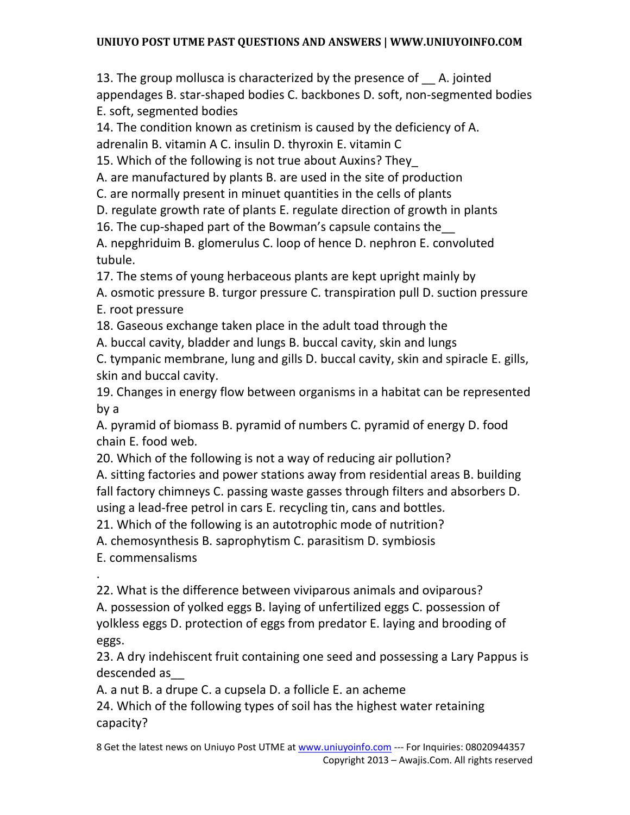13. The group mollusca is characterized by the presence of A. jointed appendages B. star-shaped bodies C. backbones D. soft, non-segmented bodies E. soft, segmented bodies

14. The condition known as cretinism is caused by the deficiency of A. adrenalin B. vitamin A C. insulin D. thyroxin E. vitamin C

15. Which of the following is not true about Auxins? They\_

A. are manufactured by plants B. are used in the site of production

C. are normally present in minuet quantities in the cells of plants

D. regulate growth rate of plants E. regulate direction of growth in plants

16. The cup-shaped part of the Bowman's capsule contains the\_\_

A. nepghriduim B. glomerulus C. loop of hence D. nephron E. convoluted tubule.

17. The stems of young herbaceous plants are kept upright mainly by

A. osmotic pressure B. turgor pressure C. transpiration pull D. suction pressure E. root pressure

18. Gaseous exchange taken place in the adult toad through the

A. buccal cavity, bladder and lungs B. buccal cavity, skin and lungs

C. tympanic membrane, lung and gills D. buccal cavity, skin and spiracle E. gills, skin and buccal cavity.

19. Changes in energy flow between organisms in a habitat can be represented by a

A. pyramid of biomass B. pyramid of numbers C. pyramid of energy D. food chain E. food web.

20. Which of the following is not a way of reducing air pollution?

A. sitting factories and power stations away from residential areas B. building fall factory chimneys C. passing waste gasses through filters and absorbers D. using a lead-free petrol in cars E. recycling tin, cans and bottles.

21. Which of the following is an autotrophic mode of nutrition?

A. chemosynthesis B. saprophytism C. parasitism D. symbiosis

E. commensalisms

.

22. What is the difference between viviparous animals and oviparous? A. possession of yolked eggs B. laying of unfertilized eggs C. possession of yolkless eggs D. protection of eggs from predator E. laying and brooding of eggs.

23. A dry indehiscent fruit containing one seed and possessing a Lary Pappus is descended as\_\_

A. a nut B. a drupe C. a cupsela D. a follicle E. an acheme

24. Which of the following types of soil has the highest water retaining capacity?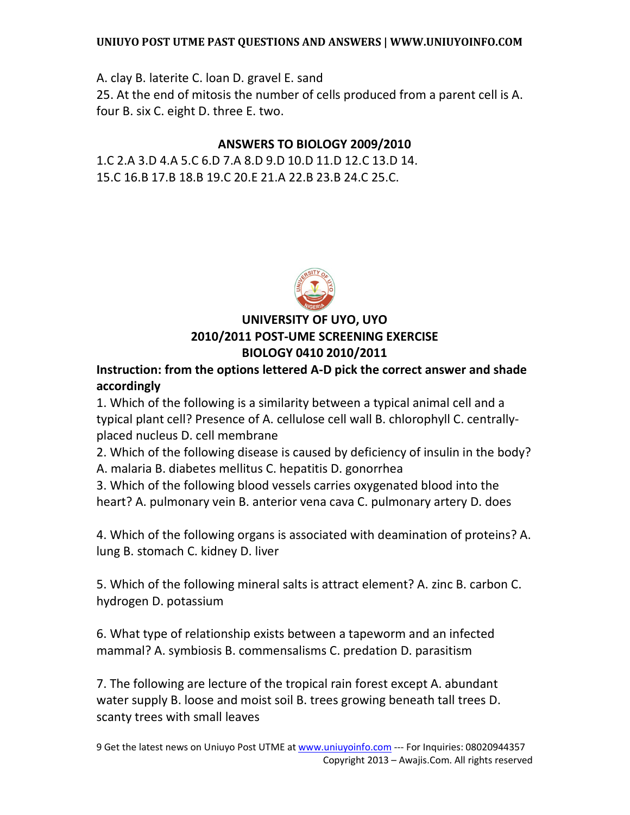A. clay B. laterite C. loan D. gravel E. sand 25. At the end of mitosis the number of cells produced from a parent cell is A. four B. six C. eight D. three E. two.

## **ANSWERS TO BIOLOGY 2009/2010**

1.C 2.A 3.D 4.A 5.C 6.D 7.A 8.D 9.D 10.D 11.D 12.C 13.D 14. 15.C 16.B 17.B 18.B 19.C 20.E 21.A 22.B 23.B 24.C 25.C.



# **UNIVERSITY OF UYO, UYO 2010/2011 POST-UME SCREENING EXERCISE BIOLOGY 0410 2010/2011**

**Instruction: from the options lettered A-D pick the correct answer and shade accordingly** 

1. Which of the following is a similarity between a typical animal cell and a typical plant cell? Presence of A. cellulose cell wall B. chlorophyll C. centrallyplaced nucleus D. cell membrane

2. Which of the following disease is caused by deficiency of insulin in the body?

A. malaria B. diabetes mellitus C. hepatitis D. gonorrhea

3. Which of the following blood vessels carries oxygenated blood into the heart? A. pulmonary vein B. anterior vena cava C. pulmonary artery D. does

4. Which of the following organs is associated with deamination of proteins? A. lung B. stomach C. kidney D. liver

5. Which of the following mineral salts is attract element? A. zinc B. carbon C. hydrogen D. potassium

6. What type of relationship exists between a tapeworm and an infected mammal? A. symbiosis B. commensalisms C. predation D. parasitism

7. The following are lecture of the tropical rain forest except A. abundant water supply B. loose and moist soil B. trees growing beneath tall trees D. scanty trees with small leaves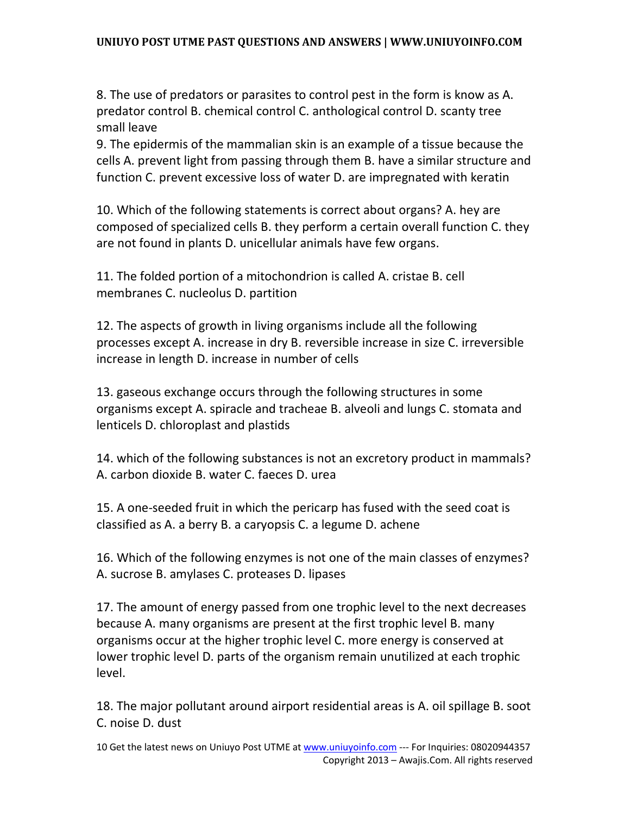8. The use of predators or parasites to control pest in the form is know as A. predator control B. chemical control C. anthological control D. scanty tree small leave

9. The epidermis of the mammalian skin is an example of a tissue because the cells A. prevent light from passing through them B. have a similar structure and function C. prevent excessive loss of water D. are impregnated with keratin

10. Which of the following statements is correct about organs? A. hey are composed of specialized cells B. they perform a certain overall function C. they are not found in plants D. unicellular animals have few organs.

11. The folded portion of a mitochondrion is called A. cristae B. cell membranes C. nucleolus D. partition

12. The aspects of growth in living organisms include all the following processes except A. increase in dry B. reversible increase in size C. irreversible increase in length D. increase in number of cells

13. gaseous exchange occurs through the following structures in some organisms except A. spiracle and tracheae B. alveoli and lungs C. stomata and lenticels D. chloroplast and plastids

14. which of the following substances is not an excretory product in mammals? A. carbon dioxide B. water C. faeces D. urea

15. A one-seeded fruit in which the pericarp has fused with the seed coat is classified as A. a berry B. a caryopsis C. a legume D. achene

16. Which of the following enzymes is not one of the main classes of enzymes? A. sucrose B. amylases C. proteases D. lipases

17. The amount of energy passed from one trophic level to the next decreases because A. many organisms are present at the first trophic level B. many organisms occur at the higher trophic level C. more energy is conserved at lower trophic level D. parts of the organism remain unutilized at each trophic level.

18. The major pollutant around airport residential areas is A. oil spillage B. soot C. noise D. dust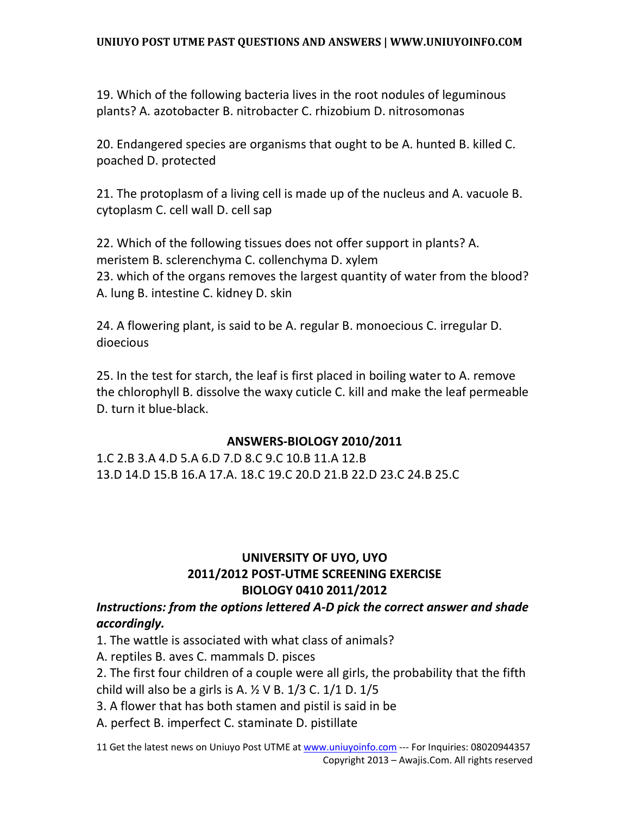19. Which of the following bacteria lives in the root nodules of leguminous plants? A. azotobacter B. nitrobacter C. rhizobium D. nitrosomonas

20. Endangered species are organisms that ought to be A. hunted B. killed C. poached D. protected

21. The protoplasm of a living cell is made up of the nucleus and A. vacuole B. cytoplasm C. cell wall D. cell sap

22. Which of the following tissues does not offer support in plants? A. meristem B. sclerenchyma C. collenchyma D. xylem 23. which of the organs removes the largest quantity of water from the blood? A. lung B. intestine C. kidney D. skin

24. A flowering plant, is said to be A. regular B. monoecious C. irregular D. dioecious

25. In the test for starch, the leaf is first placed in boiling water to A. remove the chlorophyll B. dissolve the waxy cuticle C. kill and make the leaf permeable D. turn it blue-black.

### **ANSWERS-BIOLOGY 2010/2011**

1.C 2.B 3.A 4.D 5.A 6.D 7.D 8.C 9.C 10.B 11.A 12.B 13.D 14.D 15.B 16.A 17.A. 18.C 19.C 20.D 21.B 22.D 23.C 24.B 25.C

## **UNIVERSITY OF UYO, UYO 2011/2012 POST-UTME SCREENING EXERCISE BIOLOGY 0410 2011/2012**

## *Instructions: from the options lettered A-D pick the correct answer and shade accordingly.*

1. The wattle is associated with what class of animals?

A. reptiles B. aves C. mammals D. pisces

2. The first four children of a couple were all girls, the probability that the fifth child will also be a girls is A.  $\frac{1}{2}$  V B. 1/3 C. 1/1 D. 1/5

3. A flower that has both stamen and pistil is said in be

A. perfect B. imperfect C. staminate D. pistillate

11 Get the latest news on Uniuyo Post UTME at www.uniuyoinfo.com --- For Inquiries: 08020944357 Copyright 2013 – Awajis.Com. All rights reserved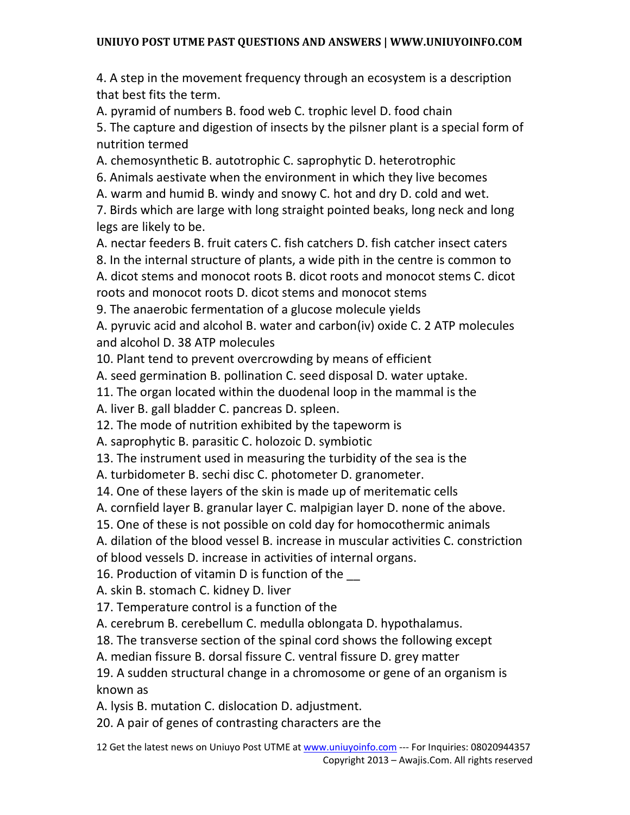4. A step in the movement frequency through an ecosystem is a description that best fits the term.

A. pyramid of numbers B. food web C. trophic level D. food chain

5. The capture and digestion of insects by the pilsner plant is a special form of nutrition termed

A. chemosynthetic B. autotrophic C. saprophytic D. heterotrophic

6. Animals aestivate when the environment in which they live becomes

A. warm and humid B. windy and snowy C. hot and dry D. cold and wet.

7. Birds which are large with long straight pointed beaks, long neck and long legs are likely to be.

A. nectar feeders B. fruit caters C. fish catchers D. fish catcher insect caters 8. In the internal structure of plants, a wide pith in the centre is common to A. dicot stems and monocot roots B. dicot roots and monocot stems C. dicot roots and monocot roots D. dicot stems and monocot stems

9. The anaerobic fermentation of a glucose molecule yields

A. pyruvic acid and alcohol B. water and carbon(iv) oxide C. 2 ATP molecules and alcohol D. 38 ATP molecules

10. Plant tend to prevent overcrowding by means of efficient

A. seed germination B. pollination C. seed disposal D. water uptake.

11. The organ located within the duodenal loop in the mammal is the

A. liver B. gall bladder C. pancreas D. spleen.

12. The mode of nutrition exhibited by the tapeworm is

A. saprophytic B. parasitic C. holozoic D. symbiotic

13. The instrument used in measuring the turbidity of the sea is the

A. turbidometer B. sechi disc C. photometer D. granometer.

14. One of these layers of the skin is made up of meritematic cells

A. cornfield layer B. granular layer C. malpigian layer D. none of the above.

15. One of these is not possible on cold day for homocothermic animals

A. dilation of the blood vessel B. increase in muscular activities C. constriction of blood vessels D. increase in activities of internal organs.

16. Production of vitamin D is function of the

A. skin B. stomach C. kidney D. liver

17. Temperature control is a function of the

A. cerebrum B. cerebellum C. medulla oblongata D. hypothalamus.

18. The transverse section of the spinal cord shows the following except

A. median fissure B. dorsal fissure C. ventral fissure D. grey matter

19. A sudden structural change in a chromosome or gene of an organism is known as

A. lysis B. mutation C. dislocation D. adjustment.

20. A pair of genes of contrasting characters are the